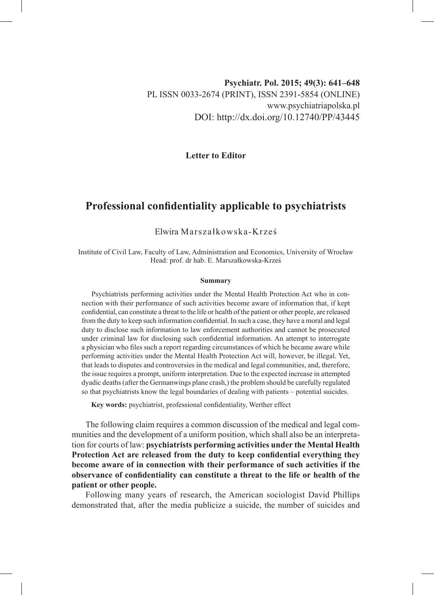## **Psychiatr. Pol. 2015; 49(3): 641–648** PL ISSN 0033-2674 (PRINT), ISSN 2391-5854 (ONLINE) www.psychiatriapolska.pl DOI: http://dx.doi.org/10.12740/PP/43445

**Letter to Editor**

## **Professional confidentiality applicable to psychiatrists**

## Elwira Marszałkowska-Krześ

Institute of Civil Law, Faculty of Law, Administration and Economics, University of Wrocław Head: prof. dr hab. E. Marszałkowska-Krześ

## **Summary**

Psychiatrists performing activities under the Mental Health Protection Act who in connection with their performance of such activities become aware of information that, if kept confidential, can constitute a threat to the life or health of the patient or other people, are released from the duty to keep such information confidential. In such a case, they have a moral and legal duty to disclose such information to law enforcement authorities and cannot be prosecuted under criminal law for disclosing such confidential information. An attempt to interrogate a physician who files such a report regarding circumstances of which he became aware while performing activities under the Mental Health Protection Act will, however, be illegal. Yet, that leads to disputes and controversies in the medical and legal communities, and, therefore, the issue requires a prompt, uniform interpretation. Due to the expected increase in attempted dyadic deaths (after the Germanwings plane crash,) the problem should be carefully regulated so that psychiatrists know the legal boundaries of dealing with patients – potential suicides.

**Key words:** psychiatrist, professional confidentiality, Werther effect

The following claim requires a common discussion of the medical and legal communities and the development of a uniform position, which shall also be an interpretation for courts of law: **psychiatrists performing activities under the Mental Health Protection Act are released from the duty to keep confidential everything they become aware of in connection with their performance of such activities if the observance of confidentiality can constitute a threat to the life or health of the patient or other people.**

Following many years of research, the American sociologist David Phillips demonstrated that, after the media publicize a suicide, the number of suicides and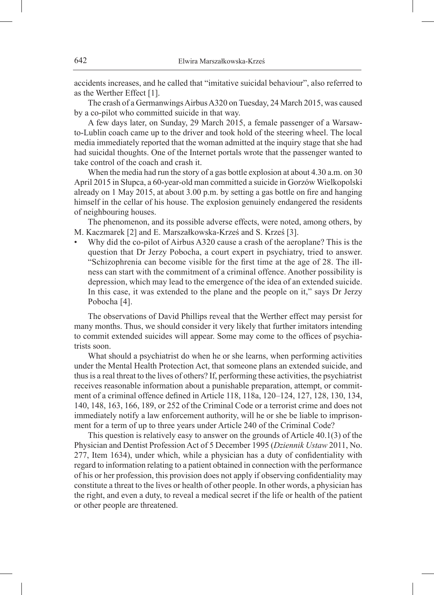accidents increases, and he called that "imitative suicidal behaviour", also referred to as the Werther Effect [1].

The crash of a Germanwings Airbus A320 on Tuesday, 24 March 2015, was caused by a co-pilot who committed suicide in that way.

A few days later, on Sunday, 29 March 2015, a female passenger of a Warsawto-Lublin coach came up to the driver and took hold of the steering wheel. The local media immediately reported that the woman admitted at the inquiry stage that she had had suicidal thoughts. One of the Internet portals wrote that the passenger wanted to take control of the coach and crash it.

When the media had run the story of a gas bottle explosion at about 4.30 a.m. on 30 April 2015 in Słupca, a 60-year-old man committed a suicide in Gorzów Wielkopolski already on 1 May 2015, at about 3.00 p.m. by setting a gas bottle on fire and hanging himself in the cellar of his house. The explosion genuinely endangered the residents of neighbouring houses.

The phenomenon, and its possible adverse effects, were noted, among others, by M. Kaczmarek [2] and E. Marszałkowska-Krześ and S. Krześ [3].

• Why did the co-pilot of Airbus A320 cause a crash of the aeroplane? This is the question that Dr Jerzy Pobocha, a court expert in psychiatry, tried to answer. "Schizophrenia can become visible for the first time at the age of 28. The illness can start with the commitment of a criminal offence. Another possibility is depression, which may lead to the emergence of the idea of an extended suicide. In this case, it was extended to the plane and the people on it," says Dr Jerzy Pobocha [4].

The observations of David Phillips reveal that the Werther effect may persist for many months. Thus, we should consider it very likely that further imitators intending to commit extended suicides will appear. Some may come to the offices of psychiatrists soon.

What should a psychiatrist do when he or she learns, when performing activities under the Mental Health Protection Act, that someone plans an extended suicide, and thus is a real threat to the lives of others? If, performing these activities, the psychiatrist receives reasonable information about a punishable preparation, attempt, or commitment of a criminal offence defined in Article 118, 118a, 120–124, 127, 128, 130, 134, 140, 148, 163, 166, 189, or 252 of the Criminal Code or a terrorist crime and does not immediately notify a law enforcement authority, will he or she be liable to imprisonment for a term of up to three years under Article 240 of the Criminal Code?

This question is relatively easy to answer on the grounds of Article 40.1(3) of the Physician and Dentist Profession Act of 5 December 1995 (*Dziennik Ustaw* 2011, No. 277, Item 1634), under which, while a physician has a duty of confidentiality with regard to information relating to a patient obtained in connection with the performance of his or her profession, this provision does not apply if observing confidentiality may constitute a threat to the lives or health of other people. In other words, a physician has the right, and even a duty, to reveal a medical secret if the life or health of the patient or other people are threatened.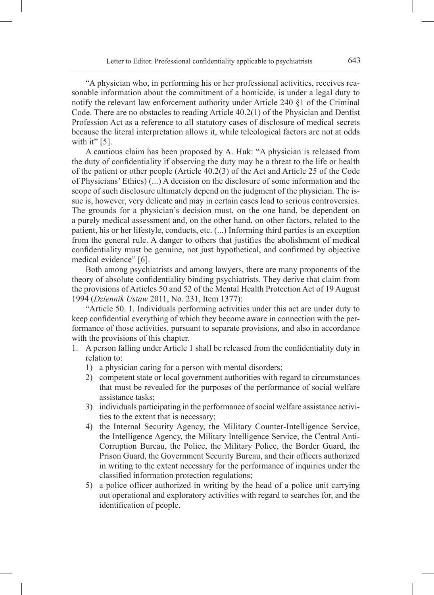"A physician who, in performing his or her professional activities, receives reasonable information about the commitment of a homicide, is under a legal duty to notify the relevant law enforcement authority under Article 240 §1 of the Criminal Code. There are no obstacles to reading Article 40.2(1) of the Physician and Dentist Profession Act as a reference to all statutory cases of disclosure of medical secrets because the literal interpretation allows it, while teleological factors are not at odds with it"  $[5]$ .

A cautious claim has been proposed by A. Huk: "A physician is released from the duty of confidentiality if observing the duty may be a threat to the life or health of the patient or other people (Article 40.2(3) of the Act and Article 25 of the Code of Physicians' Ethics) (...) A decision on the disclosure of some information and the scope of such disclosure ultimately depend on the judgment of the physician. The issue is, however, very delicate and may in certain cases lead to serious controversies. The grounds for a physician's decision must, on the one hand, be dependent on a purely medical assessment and, on the other hand, on other factors, related to the patient, his or her lifestyle, conducts, etc. (...) Informing third parties is an exception from the general rule. A danger to others that justifies the abolishment of medical confidentiality must be genuine, not just hypothetical, and confirmed by objective medical evidence" [6].

Both among psychiatrists and among lawyers, there are many proponents of the theory of absolute confidentiality binding psychiatrists. They derive that claim from the provisions of Articles 50 and 52 of the Mental Health Protection Act of 19 August 1994 (*Dziennik Ustaw* 2011, No. 231, Item 1377):

"Article 50. 1. Individuals performing activities under this act are under duty to keep confidential everything of which they become aware in connection with the performance of those activities, pursuant to separate provisions, and also in accordance with the provisions of this chapter.

- 1. A person falling under Article 1 shall be released from the confidentiality duty in relation to:
	- 1) a physician caring for a person with mental disorders;
	- 2) competent state or local government authorities with regard to circumstances that must be revealed for the purposes of the performance of social welfare assistance tasks;
	- 3) individuals participating in the performance of social welfare assistance activities to the extent that is necessary;
	- 4) the Internal Security Agency, the Military Counter-Intelligence Service, the Intelligence Agency, the Military Intelligence Service, the Central Anti-Corruption Bureau, the Police, the Military Police, the Border Guard, the Prison Guard, the Government Security Bureau, and their officers authorized in writing to the extent necessary for the performance of inquiries under the classified information protection regulations;
	- 5) a police officer authorized in writing by the head of a police unit carrying out operational and exploratory activities with regard to searches for, and the identification of people.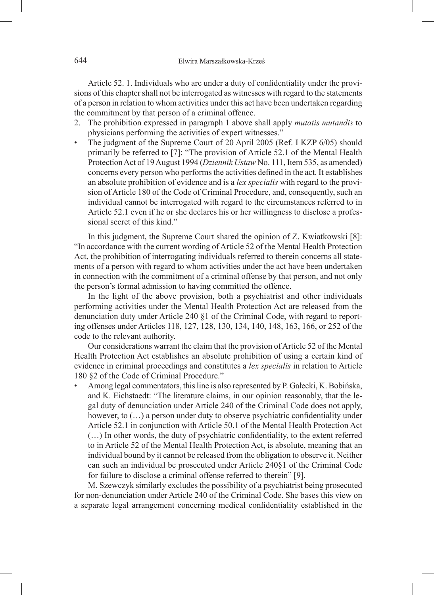Article 52. 1. Individuals who are under a duty of confidentiality under the provisions of this chapter shall not be interrogated as witnesses with regard to the statements of a person in relation to whom activities under this act have been undertaken regarding the commitment by that person of a criminal offence.

- 2. The prohibition expressed in paragraph 1 above shall apply *mutatis mutandis* to physicians performing the activities of expert witnesses."
- The judgment of the Supreme Court of 20 April 2005 (Ref. I KZP 6/05) should primarily be referred to [7]: "The provision of Article 52.1 of the Mental Health Protection Act of 19 August 1994 (*Dziennik Ustaw* No. 111, Item 535, as amended) concerns every person who performs the activities defined in the act. It establishes an absolute prohibition of evidence and is a *lex specialis* with regard to the provision of Article 180 of the Code of Criminal Procedure, and, consequently, such an individual cannot be interrogated with regard to the circumstances referred to in Article 52.1 even if he or she declares his or her willingness to disclose a professional secret of this kind."

In this judgment, the Supreme Court shared the opinion of Z. Kwiatkowski [8]: "In accordance with the current wording of Article 52 of the Mental Health Protection Act, the prohibition of interrogating individuals referred to therein concerns all statements of a person with regard to whom activities under the act have been undertaken in connection with the commitment of a criminal offense by that person, and not only the person's formal admission to having committed the offence.

In the light of the above provision, both a psychiatrist and other individuals performing activities under the Mental Health Protection Act are released from the denunciation duty under Article 240 §1 of the Criminal Code, with regard to reporting offenses under Articles 118, 127, 128, 130, 134, 140, 148, 163, 166, or 252 of the code to the relevant authority.

Our considerations warrant the claim that the provision of Article 52 of the Mental Health Protection Act establishes an absolute prohibition of using a certain kind of evidence in criminal proceedings and constitutes a *lex specialis* in relation to Article 180 §2 of the Code of Criminal Procedure."

• Among legal commentators, this line is also represented by P. Gałecki, K. Bobińska, and K. Eichstaedt: "The literature claims, in our opinion reasonably, that the legal duty of denunciation under Article 240 of the Criminal Code does not apply, however, to  $(...)$  a person under duty to observe psychiatric confidentiality under Article 52.1 in conjunction with Article 50.1 of the Mental Health Protection Act (…) In other words, the duty of psychiatric confidentiality, to the extent referred to in Article 52 of the Mental Health Protection Act, is absolute, meaning that an individual bound by it cannot be released from the obligation to observe it. Neither can such an individual be prosecuted under Article 240§1 of the Criminal Code for failure to disclose a criminal offense referred to therein" [9].

M. Szewczyk similarly excludes the possibility of a psychiatrist being prosecuted for non-denunciation under Article 240 of the Criminal Code. She bases this view on a separate legal arrangement concerning medical confidentiality established in the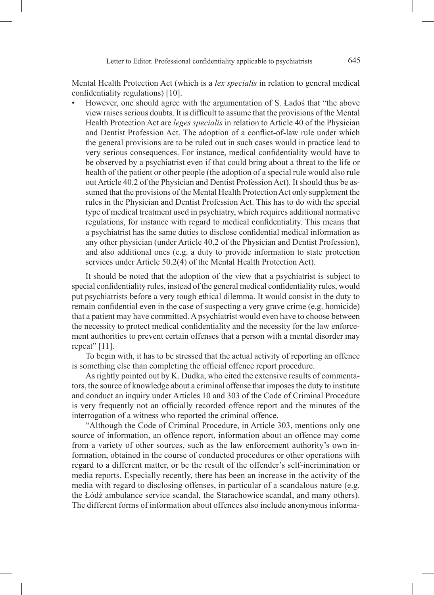Mental Health Protection Act (which is a *lex specialis* in relation to general medical confidentiality regulations) [10].

• However, one should agree with the argumentation of S. Ładoś that "the above view raises serious doubts. It is difficult to assume that the provisions of the Mental Health Protection Act are *leges specialis* in relation to Article 40 of the Physician and Dentist Profession Act. The adoption of a conflict-of-law rule under which the general provisions are to be ruled out in such cases would in practice lead to very serious consequences. For instance, medical confidentiality would have to be observed by a psychiatrist even if that could bring about a threat to the life or health of the patient or other people (the adoption of a special rule would also rule out Article 40.2 of the Physician and Dentist Profession Act). It should thus be assumed that the provisions of the Mental Health Protection Act only supplement the rules in the Physician and Dentist Profession Act. This has to do with the special type of medical treatment used in psychiatry, which requires additional normative regulations, for instance with regard to medical confidentiality. This means that a psychiatrist has the same duties to disclose confidential medical information as any other physician (under Article 40.2 of the Physician and Dentist Profession), and also additional ones (e.g. a duty to provide information to state protection services under Article 50.2(4) of the Mental Health Protection Act).

It should be noted that the adoption of the view that a psychiatrist is subject to special confidentiality rules, instead of the general medical confidentiality rules, would put psychiatrists before a very tough ethical dilemma. It would consist in the duty to remain confidential even in the case of suspecting a very grave crime (e.g. homicide) that a patient may have committed. A psychiatrist would even have to choose between the necessity to protect medical confidentiality and the necessity for the law enforcement authorities to prevent certain offenses that a person with a mental disorder may repeat" [11].

To begin with, it has to be stressed that the actual activity of reporting an offence is something else than completing the official offence report procedure.

As rightly pointed out by K. Dudka, who cited the extensive results of commentators, the source of knowledge about a criminal offense that imposes the duty to institute and conduct an inquiry under Articles 10 and 303 of the Code of Criminal Procedure is very frequently not an officially recorded offence report and the minutes of the interrogation of a witness who reported the criminal offence.

"Although the Code of Criminal Procedure, in Article 303, mentions only one source of information, an offence report, information about an offence may come from a variety of other sources, such as the law enforcement authority's own information, obtained in the course of conducted procedures or other operations with regard to a different matter, or be the result of the offender's self-incrimination or media reports. Especially recently, there has been an increase in the activity of the media with regard to disclosing offenses, in particular of a scandalous nature (e.g. the Łódź ambulance service scandal, the Starachowice scandal, and many others). The different forms of information about offences also include anonymous informa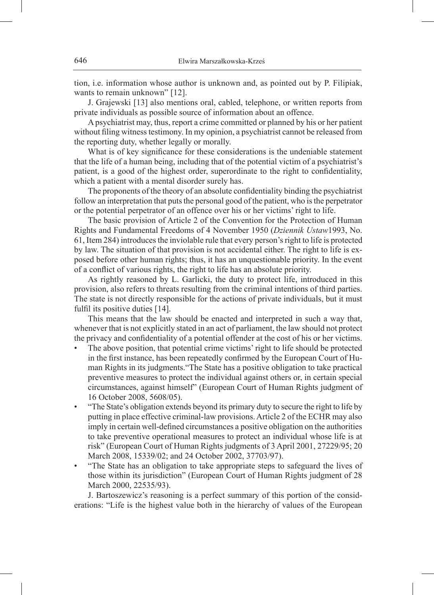tion, i.e. information whose author is unknown and, as pointed out by P. Filipiak, wants to remain unknown" [12].

J. Grajewski [13] also mentions oral, cabled, telephone, or written reports from private individuals as possible source of information about an offence.

A psychiatrist may, thus, report a crime committed or planned by his or her patient without filing witness testimony. In my opinion, a psychiatrist cannot be released from the reporting duty, whether legally or morally.

What is of key significance for these considerations is the undeniable statement that the life of a human being, including that of the potential victim of a psychiatrist's patient, is a good of the highest order, superordinate to the right to confidentiality, which a patient with a mental disorder surely has.

The proponents of the theory of an absolute confidentiality binding the psychiatrist follow an interpretation that puts the personal good of the patient, who is the perpetrator or the potential perpetrator of an offence over his or her victims' right to life.

The basic provision of Article 2 of the Convention for the Protection of Human Rights and Fundamental Freedoms of 4 November 1950 (*Dziennik Ustaw*1993, No. 61, Item 284) introduces the inviolable rule that every person's right to life is protected by law. The situation of that provision is not accidental either. The right to life is exposed before other human rights; thus, it has an unquestionable priority. In the event of a conflict of various rights, the right to life has an absolute priority.

As rightly reasoned by L. Garlicki, the duty to protect life, introduced in this provision, also refers to threats resulting from the criminal intentions of third parties. The state is not directly responsible for the actions of private individuals, but it must fulfil its positive duties [14].

This means that the law should be enacted and interpreted in such a way that, whenever that is not explicitly stated in an act of parliament, the law should not protect the privacy and confidentiality of a potential offender at the cost of his or her victims.

- The above position, that potential crime victims' right to life should be protected in the first instance, has been repeatedly confirmed by the European Court of Human Rights in its judgments."The State has a positive obligation to take practical preventive measures to protect the individual against others or, in certain special circumstances, against himself" (European Court of Human Rights judgment of 16 October 2008, 5608/05).
- "The State's obligation extends beyond its primary duty to secure the right to life by putting in place effective criminal-law provisions. Article 2 of the ECHR may also imply in certain well-defined circumstances a positive obligation on the authorities to take preventive operational measures to protect an individual whose life is at risk" (European Court of Human Rights judgments of 3 April 2001, 27229/95; 20 March 2008, 15339/02; and 24 October 2002, 37703/97).
- "The State has an obligation to take appropriate steps to safeguard the lives of those within its jurisdiction" (European Court of Human Rights judgment of 28 March 2000, 22535/93).

J. Bartoszewicz's reasoning is a perfect summary of this portion of the considerations: "Life is the highest value both in the hierarchy of values of the European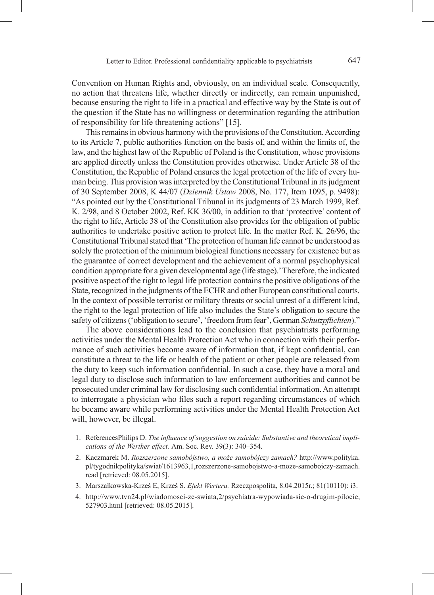Convention on Human Rights and, obviously, on an individual scale. Consequently, no action that threatens life, whether directly or indirectly, can remain unpunished, because ensuring the right to life in a practical and effective way by the State is out of the question if the State has no willingness or determination regarding the attribution of responsibility for life threatening actions" [15].

This remains in obvious harmony with the provisions of the Constitution. According to its Article 7, public authorities function on the basis of, and within the limits of, the law, and the highest law of the Republic of Poland is the Constitution, whose provisions are applied directly unless the Constitution provides otherwise. Under Article 38 of the Constitution, the Republic of Poland ensures the legal protection of the life of every human being. This provision was interpreted by the Constitutional Tribunal in its judgment of 30 September 2008, K 44/07 (*Dziennik Ustaw* 2008, No. 177, Item 1095, p. 9498): "As pointed out by the Constitutional Tribunal in its judgments of 23 March 1999, Ref. K. 2/98, and 8 October 2002, Ref. KK 36/00, in addition to that 'protective' content of the right to life, Article 38 of the Constitution also provides for the obligation of public authorities to undertake positive action to protect life. In the matter Ref. K. 26/96, the Constitutional Tribunal stated that 'The protection of human life cannot be understood as solely the protection of the minimum biological functions necessary for existence but as the guarantee of correct development and the achievement of a normal psychophysical condition appropriate for a given developmental age (life stage).' Therefore, the indicated positive aspect of the right to legal life protection contains the positive obligations of the State, recognized in the judgments of the ECHR and other European constitutional courts. In the context of possible terrorist or military threats or social unrest of a different kind, the right to the legal protection of life also includes the State's obligation to secure the safety of citizens ('obligation to secure', 'freedom from fear', German *Schutzpflichten*)."

The above considerations lead to the conclusion that psychiatrists performing activities under the Mental Health Protection Act who in connection with their performance of such activities become aware of information that, if kept confidential, can constitute a threat to the life or health of the patient or other people are released from the duty to keep such information confidential. In such a case, they have a moral and legal duty to disclose such information to law enforcement authorities and cannot be prosecuted under criminal law for disclosing such confidential information. An attempt to interrogate a physician who files such a report regarding circumstances of which he became aware while performing activities under the Mental Health Protection Act will, however, be illegal.

- 1. ReferencesPhilips D. *The influence of suggestion on suicide: Substantive and theoretical implications of the Werther effect.* Am. Soc. Rev. 39(3): 340–354.
- 2. Kaczmarek M. *Rozszerzone samobójstwo, a może samobójczy zamach?* http://www.polityka. pl/tygodnikpolityka/swiat/1613963,1,rozszerzone-samobojstwo-a-moze-samobojczy-zamach. read [retrieved: 08.05.2015].
- 3. Marszałkowska-Krześ E, Krześ S. *Efekt Wertera.* Rzeczpospolita, 8.04.2015r.; 81(10110): i3.
- 4. http://www.tvn24.pl/wiadomosci-ze-swiata,2/psychiatra-wypowiada-sie-o-drugim-pilocie, 527903.html [retrieved: 08.05.2015].